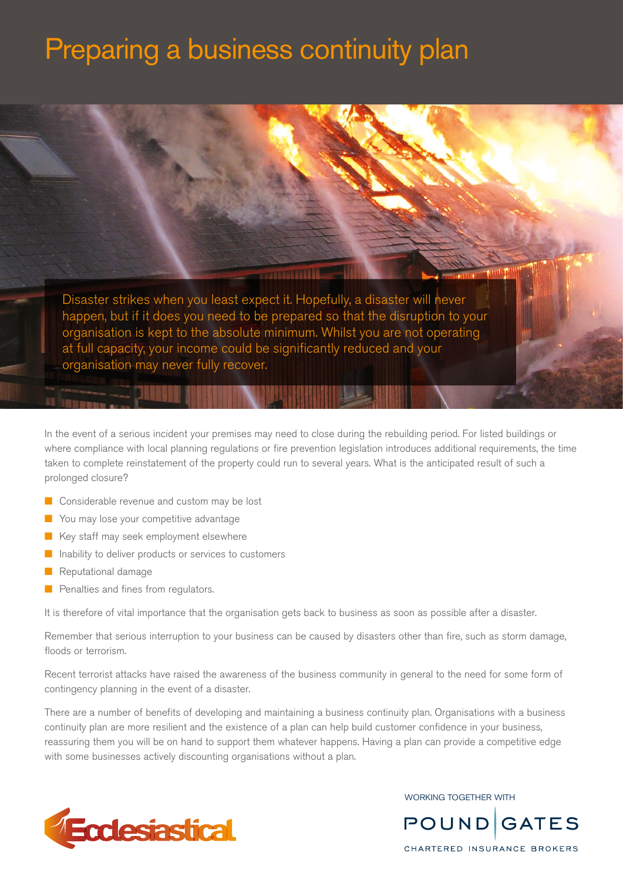# Preparing a business continuity plan

Disaster strikes when you least expect it. Hopefully, a disaster will never happen, but if it does you need to be prepared so that the disruption to your organisation is kept to the absolute minimum. Whilst you are not operating at full capacity, your income could be significantly reduced and your organisation may never fully recover.

In the event of a serious incident your premises may need to close during the rebuilding period. For listed buildings or where compliance with local planning regulations or fire prevention legislation introduces additional requirements, the time taken to complete reinstatement of the property could run to several years. What is the anticipated result of such a prolonged closure?

- $\blacksquare$  Considerable revenue and custom may be lost
- **n** You may lose your competitive advantage
- Key staff may seek employment elsewhere
- $\blacksquare$  Inability to deliver products or services to customers
- Reputational damage
- Penalties and fines from regulators.

It is therefore of vital importance that the organisation gets back to business as soon as possible after a disaster.

Remember that serious interruption to your business can be caused by disasters other than fire, such as storm damage, floods or terrorism.

Recent terrorist attacks have raised the awareness of the business community in general to the need for some form of contingency planning in the event of a disaster.

There are a number of benefits of developing and maintaining a business continuity plan. Organisations with a business continuity plan are more resilient and the existence of a plan can help build customer confidence in your business, reassuring them you will be on hand to support them whatever happens. Having a plan can provide a competitive edge with some businesses actively discounting organisations without a plan.



WORKING TOGETHER WITH



CHARTERED INSURANCE BROKERS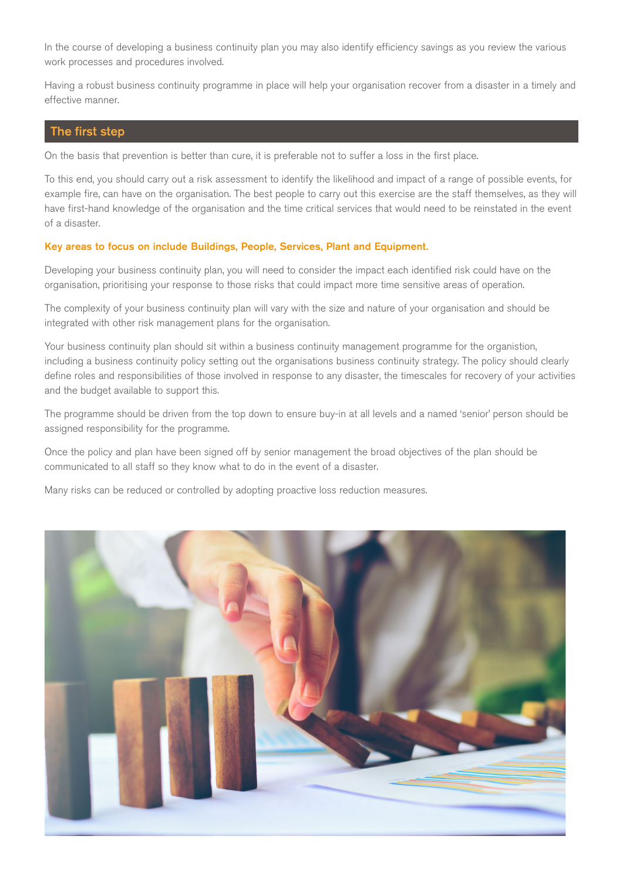In the course of developing a business continuity plan you may also identify efficiency savings as you review the various work processes and procedures involved.

Having a robust business continuity programme in place will help your organisation recover from a disaster in a timely and effective manner.

## The first step

On the basis that prevention is better than cure, it is preferable not to suffer a loss in the first place.

To this end, you should carry out a risk assessment to identify the likelihood and impact of a range of possible events, for example fire, can have on the organisation. The best people to carry out this exercise are the staff themselves, as they will have first-hand knowledge of the organisation and the time critical services that would need to be reinstated in the event of a disaster.

## Key areas to focus on include Buildings, People, Services, Plant and Equipment.

Developing your business continuity plan, you will need to consider the impact each identified risk could have on the organisation, prioritising your response to those risks that could impact more time sensitive areas of operation.

The complexity of your business continuity plan will vary with the size and nature of your organisation and should be integrated with other risk management plans for the organisation.

Your business continuity plan should sit within a business continuity management programme for the organistion, including a business continuity policy setting out the organisations business continuity strategy. The policy should clearly define roles and responsibilities of those involved in response to any disaster, the timescales for recovery of your activities and the budget available to support this.

The programme should be driven from the top down to ensure buy-in at all levels and a named 'senior' person should be assigned responsibility for the programme.

Once the policy and plan have been signed off by senior management the broad objectives of the plan should be communicated to all staff so they know what to do in the event of a disaster.

Many risks can be reduced or controlled by adopting proactive loss reduction measures.

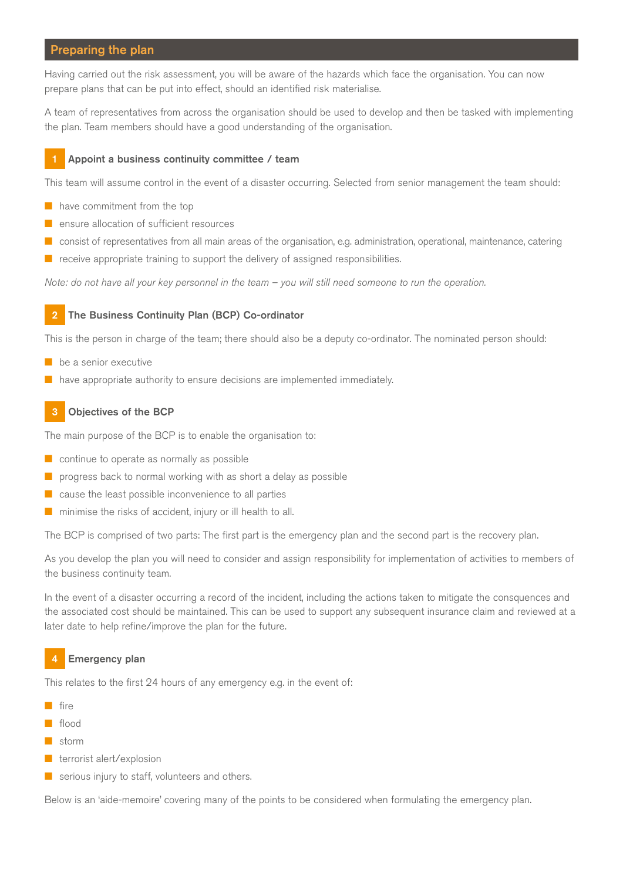# Preparing the plan

Having carried out the risk assessment, you will be aware of the hazards which face the organisation. You can now prepare plans that can be put into effect, should an identified risk materialise.

A team of representatives from across the organisation should be used to develop and then be tasked with implementing the plan. Team members should have a good understanding of the organisation.

## Appoint a business continuity committee / team

This team will assume control in the event of a disaster occurring. Selected from senior management the team should:

- $\blacksquare$  have commitment from the top
- $\blacksquare$  ensure allocation of sufficient resources
- n consist of representatives from all main areas of the organisation, e.g. administration, operational, maintenance, catering
- $\blacksquare$  receive appropriate training to support the delivery of assigned responsibilities.

Note: do not have all your key personnel in the team – you will still need someone to run the operation.

#### 2 The Business Continuity Plan (BCP) Co-ordinator

This is the person in charge of the team; there should also be a deputy co-ordinator. The nominated person should:

- $\blacksquare$  be a senior executive
- $\blacksquare$  have appropriate authority to ensure decisions are implemented immediately.

## 3 Objectives of the BCP

The main purpose of the BCP is to enable the organisation to:

- $\blacksquare$  continue to operate as normally as possible
- $\blacksquare$  progress back to normal working with as short a delay as possible
- $\blacksquare$  cause the least possible inconvenience to all parties
- $\blacksquare$  minimise the risks of accident, injury or ill health to all.

The BCP is comprised of two parts: The first part is the emergency plan and the second part is the recovery plan.

As you develop the plan you will need to consider and assign responsibility for implementation of activities to members of the business continuity team.

In the event of a disaster occurring a record of the incident, including the actions taken to mitigate the consquences and the associated cost should be maintained. This can be used to support any subsequent insurance claim and reviewed at a later date to help refine/improve the plan for the future.

## 4 Emergency plan

This relates to the first 24 hours of any emergency e.g. in the event of:

- $f$ ire
- **n** flood
- storm
- $\blacksquare$  terrorist alert/explosion
- $\blacksquare$  serious injury to staff, volunteers and others.

Below is an 'aide-memoire' covering many of the points to be considered when formulating the emergency plan.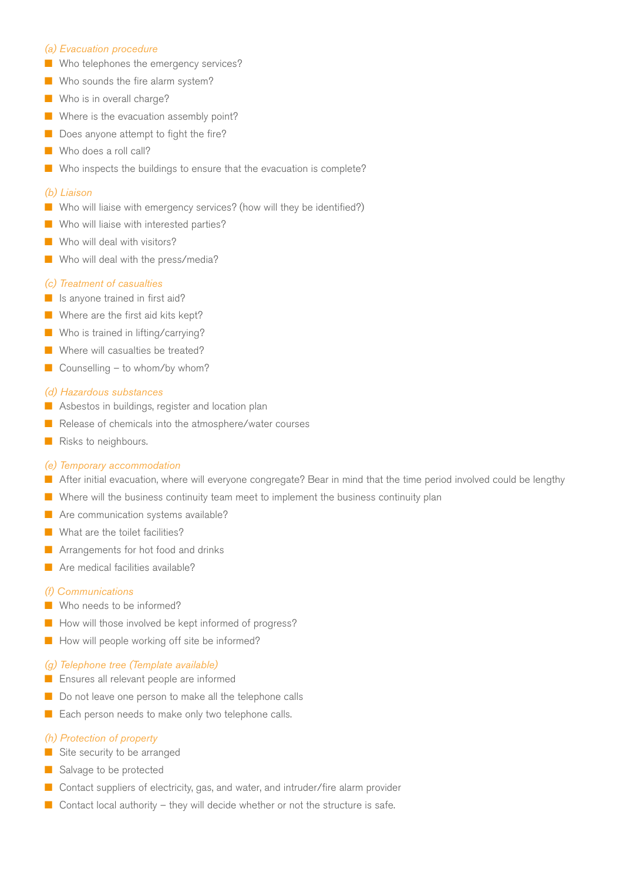## *(a) Evacuation procedure*

- $\blacksquare$  Who telephones the emergency services?
- Who sounds the fire alarm system?
- $\blacksquare$  Who is in overall charge?
- $\blacksquare$  Where is the evacuation assembly point?
- $\blacksquare$  Does anyone attempt to fight the fire?
- Who does a roll call?
- $\blacksquare$  Who inspects the buildings to ensure that the evacuation is complete?

#### *(b) Liaison*

- Who will liaise with emergency services? (how will they be identified?)
- $\blacksquare$  Who will liaise with interested parties?
- Who will deal with visitors?
- $\blacksquare$  Who will deal with the press/media?

#### *(c) Treatment of casualties*

- $\blacksquare$  Is anyone trained in first aid?
- $\blacksquare$  Where are the first aid kits kept?
- **No** Who is trained in lifting/carrying?
- $\blacksquare$  Where will casualties be treated?
- $\Box$  Counselling to whom/by whom?

#### *(d) Hazardous substances*

- $\blacksquare$  Asbestos in buildings, register and location plan
- Release of chemicals into the atmosphere/water courses
- $\blacksquare$  Risks to neighbours.

#### *(e) Temporary accommodation*

- **n** After initial evacuation, where will everyone congregate? Bear in mind that the time period involved could be lengthy
- $\blacksquare$  Where will the business continuity team meet to implement the business continuity plan
- $\blacksquare$  Are communication systems available?
- $\blacksquare$  What are the toilet facilities?
- Arrangements for hot food and drinks
- $n$  Are medical facilities available?

#### *(f) Communications*

- Who needs to be informed?
- $\blacksquare$  How will those involved be kept informed of progress?
- $\blacksquare$  How will people working off site be informed?

#### *(g) Telephone tree (Template available)*

- **n** Ensures all relevant people are informed
- $\blacksquare$  Do not leave one person to make all the telephone calls
- $\blacksquare$  Each person needs to make only two telephone calls.

#### *(h) Protection of property*

- $\blacksquare$  Site security to be arranged
- **n** Salvage to be protected
- Contact suppliers of electricity, gas, and water, and intruder/fire alarm provider
- $\Box$  Contact local authority they will decide whether or not the structure is safe.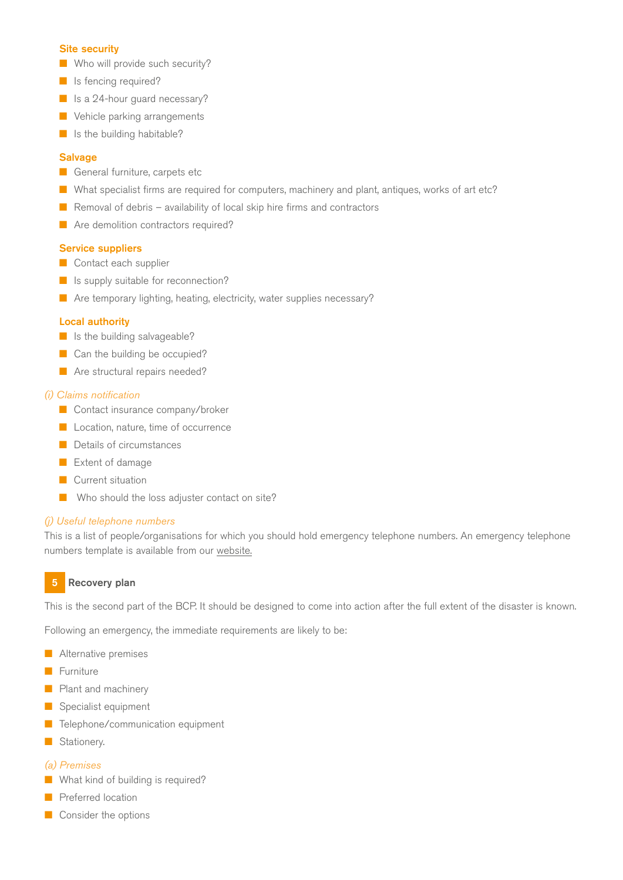## Site security

- $\blacksquare$  Who will provide such security?
- $\blacksquare$  Is fencing required?
- **n** Is a 24-hour guard necessary?
- **N** Vehicle parking arrangements
- $\blacksquare$  Is the building habitable?

#### **Salvage**

- **n** General furniture, carpets etc
- **n** What specialist firms are required for computers, machinery and plant, antiques, works of art etc?
- Removal of debris availability of local skip hire firms and contractors
- **n** Are demolition contractors required?

## Service suppliers

- $\blacksquare$  Contact each supplier
- **n** Is supply suitable for reconnection?
- $\blacksquare$  Are temporary lighting, heating, electricity, water supplies necessary?

## Local authority

- $\blacksquare$  Is the building salvageable?
- $\Box$  Can the building be occupied?
- **n** Are structural repairs needed?

## *(i) Claims notification*

- **n** Contact insurance company/broker
- **n** Location, nature, time of occurrence
- **n** Details of circumstances
- **n** Extent of damage
- **n** Current situation
- $\blacksquare$  Who should the loss adjuster contact on site?

## *(j) Useful telephone numbers*

This is a list of people/organisations for which you should hold emergency telephone numbers. An emergency telephone numbers template is available from our [website.](https://www.ecclesiastical.com/risk-management/)

# 5 Recovery plan

This is the second part of the BCP. It should be designed to come into action after the full extent of the disaster is known.

Following an emergency, the immediate requirements are likely to be:

- $\blacksquare$  Alternative premises
- Furniture
- $\blacksquare$  Plant and machinery
- **n** Specialist equipment
- Telephone/communication equipment
- Stationery.

## *(a) Premises*

- $\blacksquare$  What kind of building is required?
- Preferred location
- $\blacksquare$  Consider the options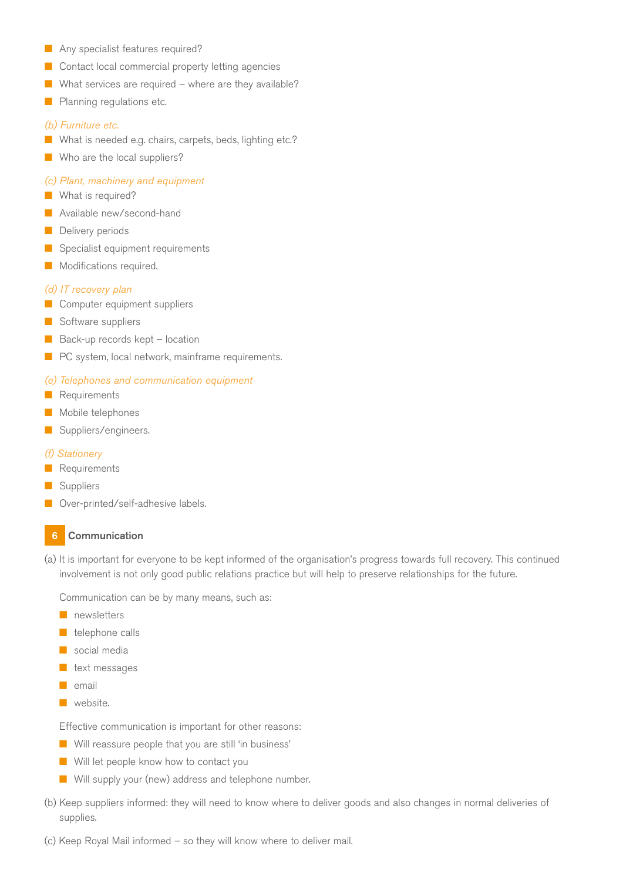- **n** Any specialist features required?
- $\blacksquare$  Contact local commercial property letting agencies
- What services are required where are they available?
- **n** Planning regulations etc.

## *(b) Furniture etc.*

- What is needed e.g. chairs, carpets, beds, lighting etc.?
- $\blacksquare$  Who are the local suppliers?

#### *(c) Plant, machinery and equipment*

- **No. 2** What is required?
- **n** Available new/second-hand
- **n** Delivery periods
- $\blacksquare$  Specialist equipment requirements
- Modifications required.

#### *(d) IT recovery plan*

- **n** Computer equipment suppliers
- **n** Software suppliers
- $\blacksquare$  Back-up records kept location
- $\blacksquare$  PC system, local network, mainframe requirements.

#### *(e) Telephones and communication equipment*

- **Requirements**
- Mobile telephones
- **n** Suppliers/engineers.

#### *(f) Stationery*

- **Requirements**
- Suppliers
- Over-printed/self-adhesive labels.

#### 6 Communication

(a) It is important for everyone to be kept informed of the organisation's progress towards full recovery. This continued involvement is not only good public relations practice but will help to preserve relationships for the future.

Communication can be by many means, such as:

- $\blacksquare$  newsletters
- $\blacksquare$  telephone calls
- $\blacksquare$  social media
- $\blacksquare$  text messages
- $\blacksquare$  email
- $\blacksquare$  website.

Effective communication is important for other reasons:

- $\blacksquare$  Will reassure people that you are still 'in business'
- $\blacksquare$  Will let people know how to contact you
- $\blacksquare$  Will supply your (new) address and telephone number.
- (b) Keep suppliers informed: they will need to know where to deliver goods and also changes in normal deliveries of supplies.
- (c) Keep Royal Mail informed so they will know where to deliver mail.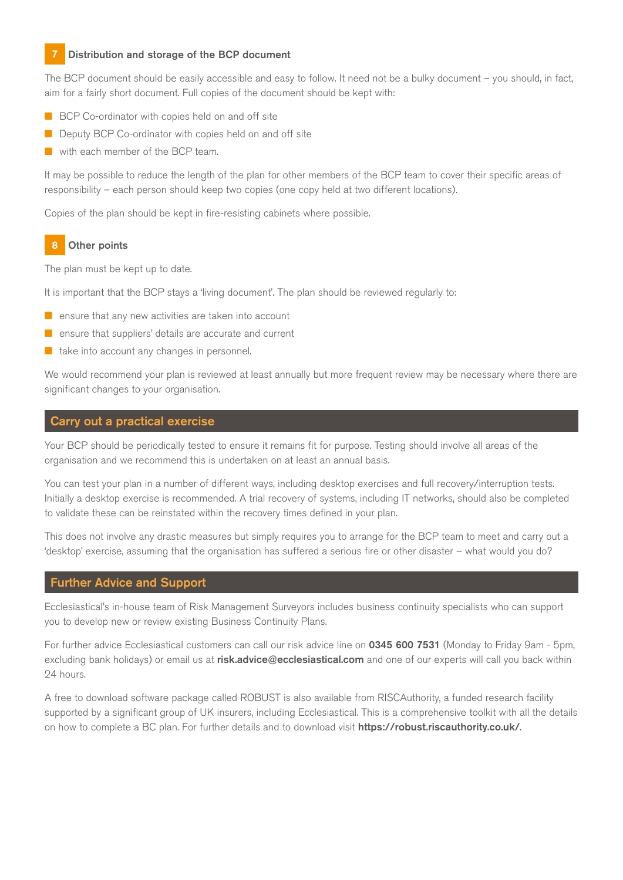# Distribution and storage of the BCP document

The BCP document should be easily accessible and easy to follow. It need not be a bulky document – you should, in fact, aim for a fairly short document. Full copies of the document should be kept with:

- $\blacksquare$  BCP Co-ordinator with copies held on and off site
- **n** Deputy BCP Co-ordinator with copies held on and off site
- with each member of the BCP team.

It may be possible to reduce the length of the plan for other members of the BCP team to cover their specific areas of responsibility – each person should keep two copies (one copy held at two different locations).

Copies of the plan should be kept in fire-resisting cabinets where possible.

# **Other points**

The plan must be kept up to date.

It is important that the BCP stays a 'living document'. The plan should be reviewed regularly to:

- $\blacksquare$  ensure that any new activities are taken into account
- $\blacksquare$  ensure that suppliers' details are accurate and current
- take into account any changes in personnel.

We would recommend your plan is reviewed at least annually but more frequent review may be necessary where there are significant changes to your organisation.

# Carry out a practical exercise

Your BCP should be periodically tested to ensure it remains fit for purpose. Testing should involve all areas of the organisation and we recommend this is undertaken on at least an annual basis.

You can test your plan in a number of different ways, including desktop exercises and full recovery/interruption tests. Initially a desktop exercise is recommended. A trial recovery of systems, including IT networks, should also be completed to validate these can be reinstated within the recovery times defined in your plan.

This does not involve any drastic measures but simply requires you to arrange for the BCP team to meet and carry out a 'desktop' exercise, assuming that the organisation has suffered a serious fire or other disaster – what would you do?

# Further Advice and Support

Ecclesiastical's in-house team of Risk Management Surveyors includes business continuity specialists who can support you to develop new or review existing Business Continuity Plans.

For further advice Ecclesiastical customers can call our risk advice line on 0345 600 7531 (Monday to Friday 9am - 5pm, excluding bank holidays) or email us at risk.advice@ecclesiastical.com and one of our experts will call you back within 24 hours.

A free to download software package called ROBUST is also available from RISCAuthority, a funded research facility supported by a significant group of UK insurers, including Ecclesiastical. This is a comprehensive toolkit with all the details on how to complete a BC plan. For further details and to download visit **<https://robust.riscauthority.co.uk/>.**